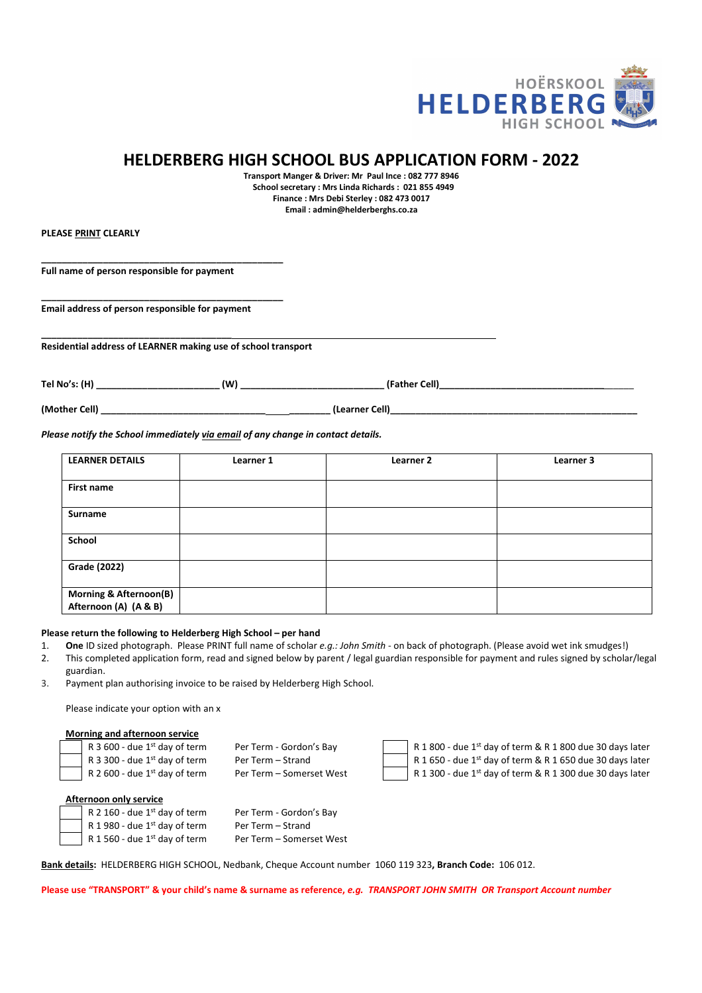

## HELDERBERG HIGH SCHOOL BUS APPLICATION FORM - 2022

Transport Manger & Driver: Mr Paul Ince : 082 777 8946 School secretary : Mrs Linda Richards : 021 855 4949 Finance : Mrs Debi Sterley : 082 473 0017 Email : admin@helderberghs.co.za

PLEASE PRINT CLEARLY

Full name of person responsible for payment

\_\_\_\_\_\_\_\_\_\_\_\_\_\_\_\_\_\_\_\_\_\_\_\_\_\_\_\_\_\_\_\_\_\_\_\_\_

Email address of person responsible for payment

\_\_\_\_\_\_\_\_\_\_\_\_\_\_\_\_\_\_\_\_\_\_\_\_\_\_\_\_\_\_\_\_\_\_\_\_\_\_\_\_\_\_\_\_\_\_\_

\_\_\_\_\_\_\_\_\_\_\_\_\_\_\_\_\_\_\_\_\_\_\_\_\_\_\_\_\_\_\_\_\_\_\_\_\_\_\_\_\_\_\_\_\_\_\_

Residential address of LEARNER making use of school transport

Tel No's: (H) \_\_\_\_\_\_\_\_\_\_\_\_\_\_\_\_\_\_\_\_\_\_\_\_ (W) \_\_\_\_\_\_\_\_\_\_\_\_\_\_\_\_\_\_\_\_\_\_\_\_\_\_\_\_ (Father Cell)\_\_\_\_\_\_\_\_\_\_\_\_\_\_\_\_\_\_\_\_\_\_\_\_\_\_\_\_\_\_\_\_\_\_\_\_\_\_

(Mother Cell) \_\_\_\_\_\_\_\_\_\_\_\_\_\_\_\_\_\_\_\_\_\_\_\_\_\_\_\_\_\_\_\_ \_\_\_\_\_\_\_\_ (Learner Cell)\_\_\_\_\_\_\_\_\_\_\_\_\_\_\_\_\_\_\_\_\_\_\_\_\_\_\_\_\_\_\_\_\_\_\_\_\_\_\_\_\_\_\_\_\_\_\_\_

Please notify the School immediately via email of any change in contact details.

| <b>LEARNER DETAILS</b>            | Learner 1 | Learner 2 | Learner 3 |
|-----------------------------------|-----------|-----------|-----------|
|                                   |           |           |           |
| <b>First name</b>                 |           |           |           |
|                                   |           |           |           |
| Surname                           |           |           |           |
|                                   |           |           |           |
| School                            |           |           |           |
|                                   |           |           |           |
| <b>Grade (2022)</b>               |           |           |           |
|                                   |           |           |           |
| <b>Morning &amp; Afternoon(B)</b> |           |           |           |
| Afternoon (A) (A & B)             |           |           |           |

#### Please return the following to Helderberg High School – per hand

- 1. One ID sized photograph. Please PRINT full name of scholar e.g.: John Smith on back of photograph. (Please avoid wet ink smudges!)
- 2. This completed application form, read and signed below by parent / legal guardian responsible for payment and rules signed by scholar/legal guardian.
- 3. Payment plan authorising invoice to be raised by Helderberg High School.

Please indicate your option with an x

#### Morning and afternoon service

|                               | R 3 600 - due $1st$ day of term | Per Term - Gordon's Bay  |  |  |
|-------------------------------|---------------------------------|--------------------------|--|--|
|                               | R 3 300 - due $1st$ day of term | Per Term - Strand        |  |  |
|                               | R 2 600 - due $1st$ day of term | Per Term – Somerset West |  |  |
|                               |                                 |                          |  |  |
| <b>Afternoon only service</b> |                                 |                          |  |  |
|                               | R 2 160 - due $1st$ day of term | Per Term - Gordon's Bay  |  |  |
|                               | R 1 980 - due $1st$ day of term | Per Term - Strand        |  |  |

| R 1 800 - due 1st day of term & R |
|-----------------------------------|
| R 1 650 - due 1st day of term & R |
| R 1 300 - due 1st day of term & R |

1 800 due 30 days later 1 650 due 30 days later

1 300 due 30 days later

| R 2 160 - due 1st day of term   | Per Term - Gordon's Bay  |
|---------------------------------|--------------------------|
| R 1980 - due $1st$ day of term  | Per Term - Strand        |
| $R$ 1 560 - due 1st day of term | Per Term - Somerset West |

Bank details: HELDERBERG HIGH SCHOOL, Nedbank, Cheque Account number 1060 119 323, Branch Code: 106 012.

Please use "TRANSPORT" & your child's name & surname as reference, e.g. TRANSPORT JOHN SMITH OR Transport Account number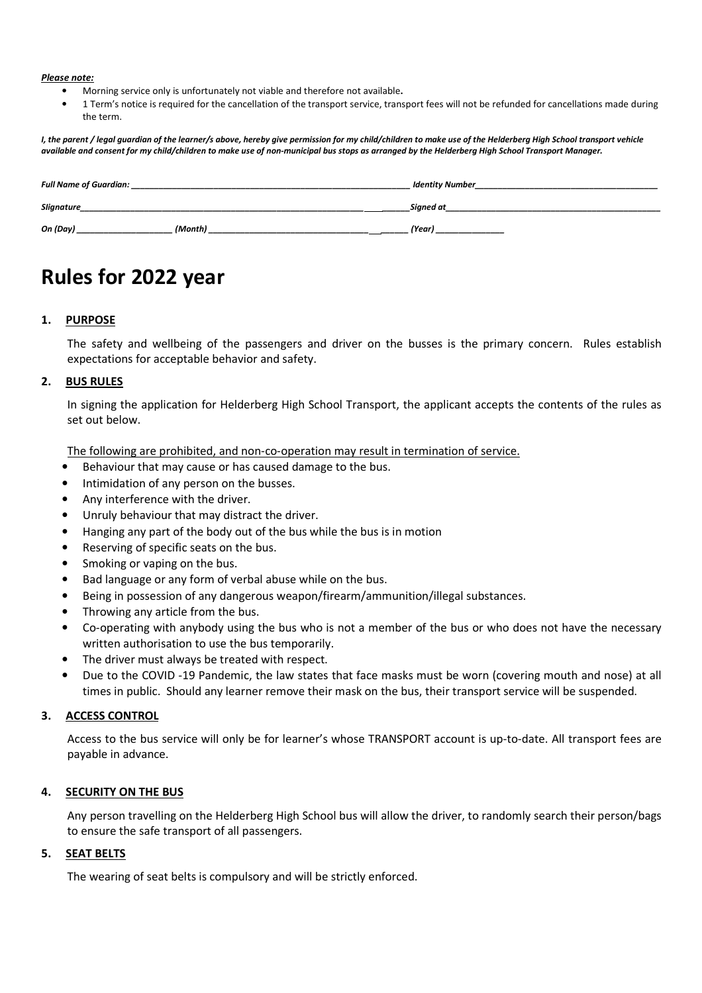#### Please note:

- Morning service only is unfortunately not viable and therefore not available.
- 1 Term's notice is required for the cancellation of the transport service, transport fees will not be refunded for cancellations made during the term.

I, the parent / legal guardian of the learner/s above, hereby give permission for my child/children to make use of the Helderberg High School transport vehicle available and consent for my child/children to make use of non-municipal bus stops as arranged by the Helderberg High School Transport Manager.

| <b>Full Name of Guardian:</b> |         | <b>Identity Number</b> |
|-------------------------------|---------|------------------------|
| Slignature                    |         | Signed at              |
| On (Day)                      | (Month) | (Year)                 |

# Rules for 2022 year

## 1. PURPOSE

The safety and wellbeing of the passengers and driver on the busses is the primary concern. Rules establish expectations for acceptable behavior and safety.

## 2. BUS RULES

In signing the application for Helderberg High School Transport, the applicant accepts the contents of the rules as set out below.

The following are prohibited, and non-co-operation may result in termination of service.

- Behaviour that may cause or has caused damage to the bus.
- Intimidation of any person on the busses.
- Any interference with the driver.
- Unruly behaviour that may distract the driver.
- Hanging any part of the body out of the bus while the bus is in motion
- Reserving of specific seats on the bus.
- Smoking or vaping on the bus.
- Bad language or any form of verbal abuse while on the bus.
- Being in possession of any dangerous weapon/firearm/ammunition/illegal substances.
- Throwing any article from the bus.
- Co-operating with anybody using the bus who is not a member of the bus or who does not have the necessary written authorisation to use the bus temporarily.
- The driver must always be treated with respect.
- Due to the COVID -19 Pandemic, the law states that face masks must be worn (covering mouth and nose) at all times in public. Should any learner remove their mask on the bus, their transport service will be suspended.

#### 3. ACCESS CONTROL

Access to the bus service will only be for learner's whose TRANSPORT account is up-to-date. All transport fees are payable in advance.

## 4. SECURITY ON THE BUS

Any person travelling on the Helderberg High School bus will allow the driver, to randomly search their person/bags to ensure the safe transport of all passengers.

#### 5. SEAT BELTS

The wearing of seat belts is compulsory and will be strictly enforced.